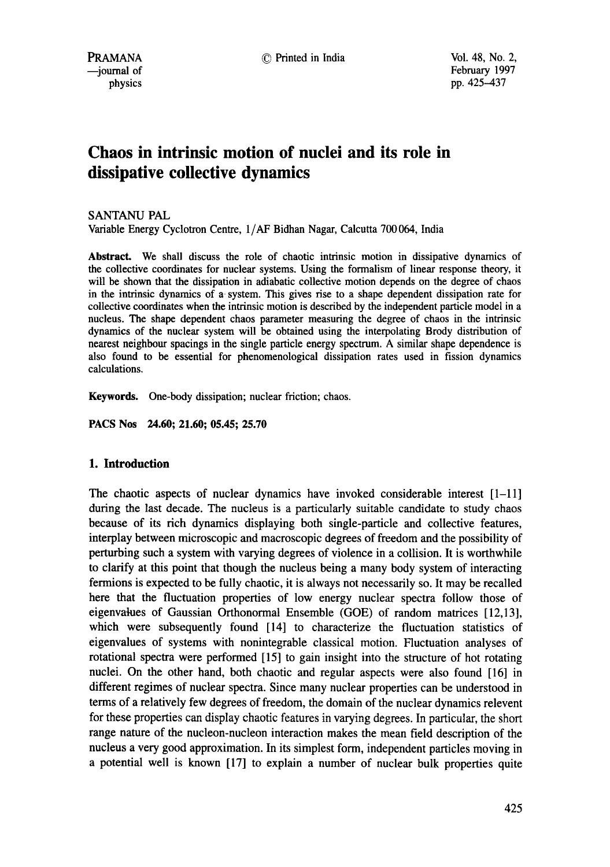# **Chaos in intrinsic motion of nuclei and its role in dissipative collective dynamics**

SANTANU PAL

Variable Energy Cyclotron Centre, 1/AF Bidhan Nagar, Calcutta 700 064, India

**Abstract.** We shall discuss the role of chaotic intrinsic motion in dissipative dynamics of the collective coordinates for nuclear systems. Using the formalism of linear response theory, it will be shown that the dissipation in adiabatic collective motion depends on the degree of chaos in the intrinsic dynamics of a system. This gives rise to a shape dependent dissipation rate for collective coordinates when the intrinsic motion is described by the independent particle model in a nucleus. The shape dependent chaos parameter measuring the degree of chaos in the intrinsic dynamics of the nuclear system will be obtained using the interpolating Brody distribution of nearest neighbour spacings in the single particle energy spectrum. A similar shape dependence is also found to be essential for phenomenological dissipation rates used in fission dynamics calculations.

Keywords. One-body dissipation; nuclear friction; chaos.

**PACS Nos 24.60; 21.60; 05.45; 25.70** 

# **1. Introduction**

The chaotic aspects of nuclear dynamics have invoked considerable interest  $[1-11]$ during the last decade. The nucleus is a particularly suitable candidate to study chaos because of its rich dynamics displaying both single-particle and collective features, interplay between microscopic and macroscopic degrees of freedom and the possibility of perturbing such a system with varying degrees of violence in a collision. It is worthwhile to clarify at this point that though the nucleus being a many body system of interacting fermions is expected to be fully chaotic, it is always not necessarily so. It may be recalled here that the fluctuation properties of low energy nuclear spectra follow those of eigenvatues of Gaussian Orthonormal Ensemble (GOE) of random matrices [12,13], which were subsequently found [14] to characterize the fluctuation statistics of eigenvalues of systems with nonintegrable classical motion. Fluctuation analyses of rotational spectra were performed [15] to gain insight into the structure of hot rotating nuclei. On the other hand, both chaotic and regular aspects were also found [16] in different regimes of nuclear spectra. Since many nuclear properties can be understood in terms of a relatively few degrees of freedom, the domain of the nuclear dynamics relevent for these properties can display chaotic features in varying degrees. In particular, the short range nature of the nucleon-nucleon interaction makes the mean field description of the nucleus a very good approximation. In its simplest form, independent particles moving in a potential well is known [17] to explain a number of nuclear bulk properties quite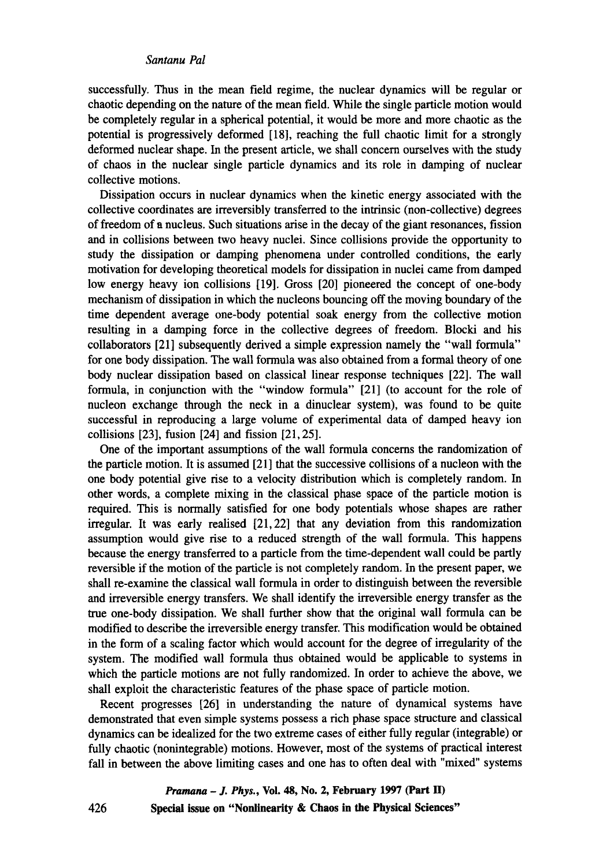successfully. Thus in the mean field regime, the nuclear dynamics will be regular or chaotic depending on the nature of the mean field. While the single particle motion would be completely regular in a spherical potential, it would be more and more chaotic as the potential is progressively deformed [18], reaching the full chaotic limit for a strongly deformed nuclear shape. In the present article, we shall concern ourselves with the study of chaos in the nuclear single particle dynamics and its role in damping of nuclear collective motions.

Dissipation occurs in nuclear dynamics when the kinetic energy associated with the collective coordinates are irreversibly transferred to the intrinsic (non-collective) degrees of freedom of a nucleus. Such situations arise in the decay of the giant resonances, fission and in collisions between two heavy nuclei. Since collisions provide the opportunity to study the dissipation or damping phenomena under controlled conditions, the early motivation for developing theoretical models for dissipation in nuclei came from damped low energy heavy ion collisions [19]. Gross [20] pioneered the concept of one-body mechanism of dissipation in which the nucleons bouncing off the moving boundary of the time dependent average one-body potential soak energy from the collective motion resulting in a damping force in the collective degrees of freedom. Blocki and his collaborators [21] subsequently derived a simple expression namely the "wall formula" for one body dissipation. The wall formula was also obtained from a formal theory of one body nuclear dissipation based on classical linear response techniques [22]. The wall formula, in conjunction with the "window formula" [21] (to account for the role of nucleon exchange through the neck in a dinuclear system), was found to be quite successful in reproducing a large volume of experimental data of damped heavy ion collisions [23], fusion [24] and fission [21,25].

One of the important assumptions of the wall formula concerns the randomization of the particle motion. It is assumed [21] that the successive collisions of a nucleon with the one body potential give rise to a velocity distribution which is completely random. In other words, a complete mixing in the classical phase space of the particle motion is required. This is normally satisfied for one body potentials whose shapes are rather irregular. It was early realised [21,22] that any deviation from this randomization assumption would give rise to a reduced strength of the wall formula. This happens because the energy transferred to a particle from the time-dependent wall could be partly reversible if the motion of the particle is not completely random. In the present paper, we shall re-examine the classical wall formula in order to distinguish between the reversible and irreversible energy transfers. We shall identify the irreversible energy transfer as the true one-body dissipation. We shall further show that the original wall formula can be modified to describe the irreversible energy transfer. This modification would be obtained in the form of a scaling factor which would account for the degree of irregularity of the system. The modified wall formula thus obtained would be applicable to systems in which the particle motions are not fully randomized. In order to achieve the above, we shall exploit the characteristic features of the phase space of particle motion.

Recent progresses [26] in understanding the nature of dynamical systems have demonstrated that even simple systems possess a rich phase space structure and classical dynamics can be idealized for the two extreme cases of either fully regular (integrable) or fully chaotic (nonintegrable) motions. However, most of the systems of practical interest fall in between the above limiting cases and one has to often deal with "mixed" systems

*Pramana - J. Phys.,* **Vol. 48, No. 2, February 1997 (Part H) Special issue on "Nonlinearity & Chaos in the Physical Sciences"** 

426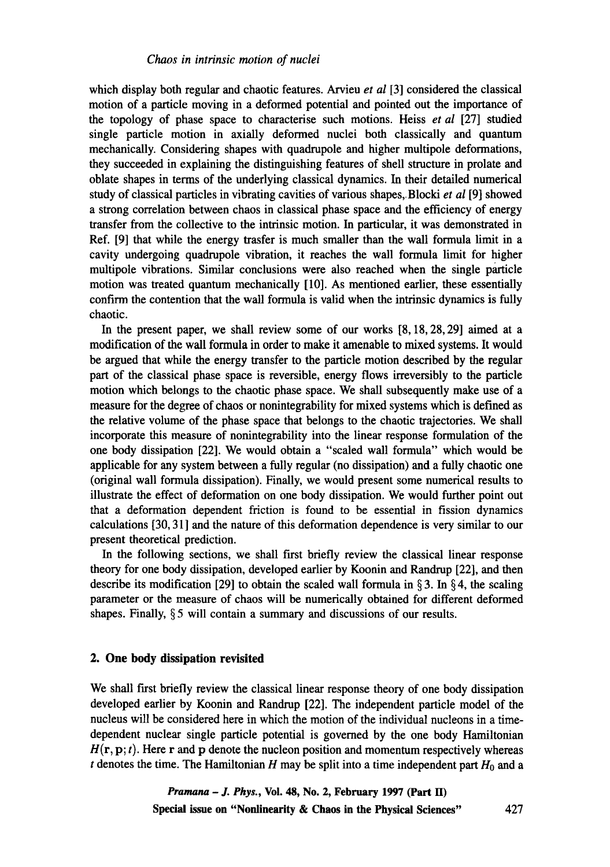which display both regular and chaotic features. Arvieu *et al* [3] considered the classical motion of a particle moving in a deformed potential and pointed out the importance of the topology of phase space to characterise such motions. Heiss *et al* [27] studied single particle motion in axially deformed nuclei both classically and quantum mechanically. Considering shapes with quadrupole and higher multipole deformations, they succeeded in explaining the distinguishing features of shell structure in prolate and oblate shapes in terms of the underlying classical dynamics. In their detailed numerical study of classical particles in vibrating cavities of various shapes,.Blocki *et al* [9] showed a strong correlation between chaos in classical phase space and the efficiency of energy transfer from the collective to the intrinsic motion. In particular, it was demonstrated in Ref. [9] that while the energy trasfer is much smaller than the wall formula limit in a cavity undergoing quadrupole vibration, it reaches the wall formula limit for higher multipole vibrations. Similar conclusions were also reached when the single particle motion was treated quantum mechanically [10]. As mentioned earlier, these essentially confirm the contention that the wall formula is valid when the intrinsic dynamics is fully chaotic.

In the present paper, we shall review some of our works [8, 18, 28, 29] aimed at a modification of the wall formula in order to make it amenable to mixed systems. It would be argued that while the energy transfer to the particle motion described by the regular part of the classical phase space is reversible, energy flows irreversibly to the particle motion which belongs to the chaotic phase space. We shall subsequently make use of a measure for the degree of chaos or nonintegrability for mixed systems which is defined as the relative volume of the phase space that belongs to the chaotic trajectories. We shall incorporate this measure of nonintegrability into the linear response formulation of the one body dissipation [22]. We would obtain a "scaled wall formula" which would be applicable for any system between a fully regular (no dissipation) and a fully chaotic one (original wall formula dissipation). Finally, we would present some numerical results to illustrate the effect of deformation on one body dissipation. We would further point out that a deformation dependent friction is found to be essential in fission dynamics calculations [30, 3 l] and the nature of this deformation dependence is very similar to our present theoretical prediction.

In the following sections, we shall first briefly review the classical linear response theory for one body dissipation, developed earlier by Koonin and Randrup [22], and then describe its modification [29] to obtain the scaled wall formula in  $\S 3$ . In  $\S 4$ , the scaling parameter or the measure of chaos will be numerically obtained for different deformed shapes. Finally, § 5 will contain a summary and discussions of our results.

## **2. One body dissipation revisited**

We shall first briefly review the classical linear response theory of one body dissipation developed earlier by Koonin and Randrup [22]. The independent particle model of the nucleus will be considered here in which the motion of the individual nucleons in a timedependent nuclear single particle potential is governed by the one body Hamiltonian  $H(\mathbf{r}, \mathbf{p}; t)$ . Here r and p denote the nucleon position and momentum respectively whereas t denotes the time. The Hamiltonian H may be split into a time independent part  $H_0$  and a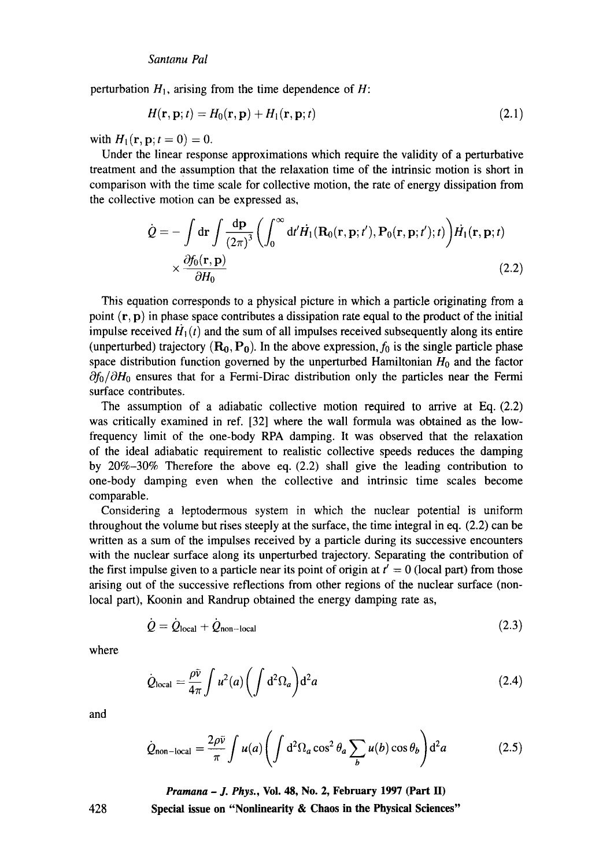perturbation  $H_1$ , arising from the time dependence of H:

$$
H(\mathbf{r}, \mathbf{p}; t) = H_0(\mathbf{r}, \mathbf{p}) + H_1(\mathbf{r}, \mathbf{p}; t)
$$
\n(2.1)

with  $H_1({\bf r},{\bf p}; t = 0) = 0$ .

Under the linear response approximations which require the validity of a perturbative treatment and the assumption that the relaxation time of the intrinsic motion is short in comparison with the time scale for collective motion, the rate of energy dissipation from the collective motion can be expressed as,

$$
\dot{Q} = -\int d\mathbf{r} \int \frac{d\mathbf{p}}{(2\pi)^3} \left( \int_0^\infty d\mathbf{r}' \dot{H}_1(\mathbf{R}_0(\mathbf{r}, \mathbf{p}; t'), \mathbf{P}_0(\mathbf{r}, \mathbf{p}; t'); t) \right) \dot{H}_1(\mathbf{r}, \mathbf{p}; t) \times \frac{\partial f_0(\mathbf{r}, \mathbf{p})}{\partial H_0}
$$
\n(2.2)

This equation corresponds to a physical picture in which a particle originating from a point  $(r, p)$  in phase space contributes a dissipation rate equal to the product of the initial impulse received  $H_1(t)$  and the sum of all impulses received subsequently along its entire (unperturbed) trajectory ( $\mathbf{R_0}, \mathbf{P_0}$ ). In the above expression,  $f_0$  is the single particle phase space distribution function governed by the unperturbed Hamiltonian  $H_0$  and the factor  $\partial f_0/\partial H_0$  ensures that for a Fermi-Dirac distribution only the particles near the Fermi surface contributes.

The assumption of a adiabatic collective motion required to arrive at Eq. (2.2) was critically examined in ref. [32] where the wall formula was obtained as the lowfrequency limit of the one-body RPA damping. It was observed that the relaxation of the ideal adiabatic requirement to realistic collective speeds reduces the damping by 20%-30% Therefore the above eq. (2.2) shall give the leading contribution to one-body damping even when the collective and intrinsic time scales become comparable.

Considering a leptodermous system in which the nuclear potential is uniform throughout the volume but rises steeply at the surface, the time integral in eq. (2.2) can be written as a sum of the impulses received by a particle during its successive encounters with the nuclear surface along its unperturbed trajectory. Separating the contribution of the first impulse given to a particle near its point of origin at  $t' = 0$  (local part) from those arising out of the successive reflections from other regions of the nuclear surface (nonlocal part), Koonin and Randrup obtained the energy damping rate as,

$$
\dot{Q} = \dot{Q}_{\text{local}} + \dot{Q}_{\text{non-local}} \tag{2.3}
$$

where

$$
\dot{Q}_{\text{local}} = \frac{\rho \bar{v}}{4\pi} \int u^2(a) \left( \int d^2 \Omega_a \right) d^2 a \tag{2.4}
$$

and

$$
\dot{Q}_{\text{non-local}} = \frac{2\rho\bar{v}}{\pi} \int u(a) \left( \int d^2\Omega_a \cos^2\theta_a \sum_b u(b) \cos\theta_b \right) d^2a \tag{2.5}
$$

*Pramana - J. Phys.,* **Vol. 48, No. 2, February 1997 (Part H)** 

428

**Special issue on "Nonlinearity & Chaos in the Physical Sciences"**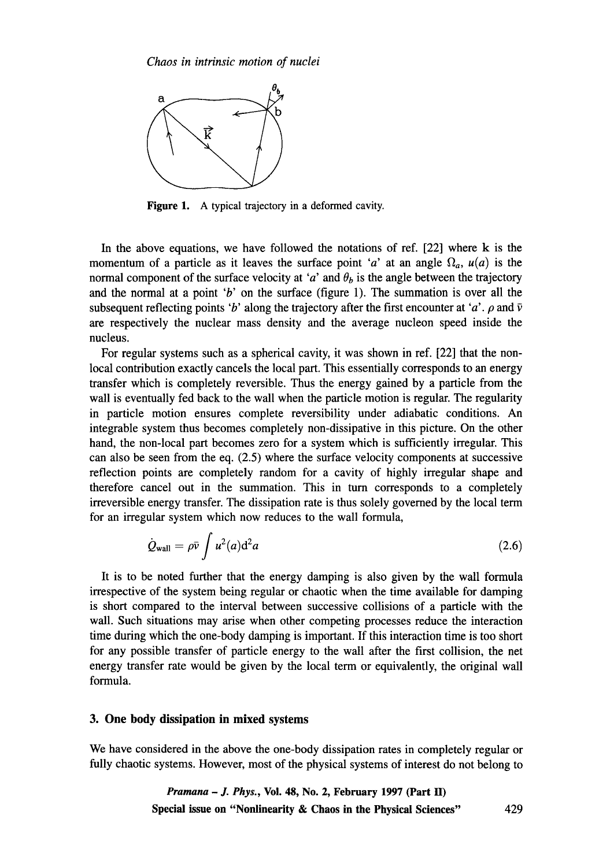

**Figure** 1. A typical trajectory in a deformed cavity.

In the above equations, we have followed the notations of ref. [22] where k is the momentum of a particle as it leaves the surface point 'a' at an angle  $\Omega_a$ ,  $u(a)$  is the normal component of the surface velocity at 'a' and  $\theta_b$  is the angle between the trajectory and the normal at a point 'b' on the surface (figure 1). The summation is over all the subsequent reflecting points 'b' along the trajectory after the first encounter at 'a'.  $\rho$  and  $\bar{v}$ are respectively the nuclear mass density and the average nucleon speed inside the nucleus.

For regular systems such as a spherical cavity, it was shown in ref. [22] that the nonlocal contribution exactly cancels the local part. This essentially corresponds to an energy transfer which is completely reversible. Thus the energy gained by a particle from the wall is eventually fed back to the wall when the particle motion is regular. The regularity in particle motion ensures complete reversibility under adiabatic conditions. An integrable system thus becomes completely non-dissipative in this picture. On the other hand, the non-local part becomes zero for a system which is sufficiently irregular. This can also be seen from the eq. (2.5) where the surface velocity components at successive reflection points are completely random for a cavity of highly irregular shape and therefore cancel out in the summation. This in turn corresponds to a completely irreversible energy transfer. The dissipation rate is thus solely governed by the local term for an irregular system which now reduces to the wall formula,

$$
\dot{Q}_{\text{wall}} = \rho \bar{\nu} \int u^2(a) \mathrm{d}^2 a \tag{2.6}
$$

It is to be noted further that the energy damping is also given by the wall formula irrespective of the system being regular or chaotic when the time available for damping is short compared to the interval between successive collisions of a particle with the wall. Such situations may arise when other competing processes reduce the interaction time during which the one-body damping is important. If this interaction time is too short for any possible transfer of particle energy to the wall after the first collision, the net energy transfer rate would be given by the local term or equivalently, the original wall formula.

## **3. One body dissipation in mixed systems**

**We have considered in the above the one-body dissipation rates in completely regular or fully chaotic systems. However, most of the physical systems of interest do not belong to**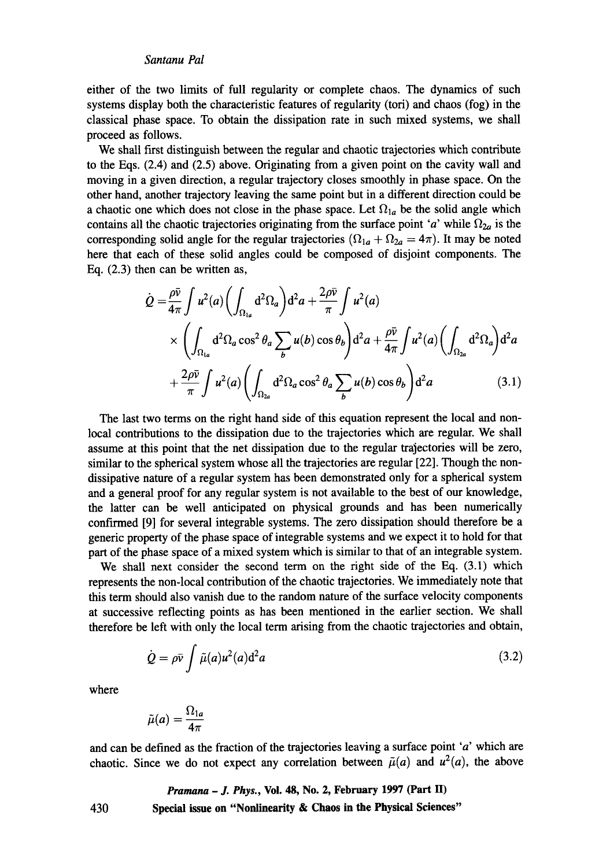## *Santanu Pal*

either of the two limits of full regularity or complete chaos. The dynamics of such systems display both the characteristic features of regularity (tori) and chaos (fog) in the classical phase space. To obtain the dissipation rate in such mixed systems, we shall proceed as follows.

We shall first distinguish between the regular and chaotic trajectories which contribute to the Eqs. (2.4) and (2.5) above. Originating from a given point on the cavity wall and moving in a given direction, a regular trajectory closes smoothly in phase space. On the other hand, another trajectory leaving the same point but in a different direction could be a chaotic one which does not close in the phase space. Let  $\Omega_{1a}$  be the solid angle which contains all the chaotic trajectories originating from the surface point 'a' while  $\Omega_{2a}$  is the corresponding solid angle for the regular trajectories  $(\Omega_{1a} + \Omega_{2a} = 4\pi)$ . It may be noted here that each of these solid angles could be composed of disjoint components. The Eq. (2.3) then can be written as,

$$
\dot{Q} = \frac{\rho \bar{v}}{4\pi} \int u^2(a) \left( \int_{\Omega_{1a}} d^2 \Omega_a \right) d^2 a + \frac{2\rho \bar{v}}{\pi} \int u^2(a) \times \left( \int_{\Omega_{1a}} d^2 \Omega_a \cos^2 \theta_a \sum_b u(b) \cos \theta_b \right) d^2 a + \frac{\rho \bar{v}}{4\pi} \int u^2(a) \left( \int_{\Omega_{2a}} d^2 \Omega_a \right) d^2 a + \frac{2\rho \bar{v}}{\pi} \int u^2(a) \left( \int_{\Omega_{2a}} d^2 \Omega_a \cos^2 \theta_a \sum_b u(b) \cos \theta_b \right) d^2 a \tag{3.1}
$$

The last two terms on the right hand side of this equation represent the local and nonlocal contributions to the dissipation due to the trajectories which are regular. We shall assume at this point that the net dissipation due to the regular trajectories will be zero, similar to the spherical system whose all the trajectories are regular [22]. Though the nondissipative nature of a regular system has been demonstrated only for a spherical system and a general proof for any regular system is not available to the best of our knowledge, the latter can be well anticipated on physical grounds and has been numerically confirmed [9] for several integrable systems. The zero dissipation should therefore be a genetic property of the phase space of integrable systems and we expect it to hold for that part of the phase space of a mixed system which is similar to that of an integrable system.

We shall next consider the second term on the tight side of the Eq. (3.1) which represents the non-local contribution of the chaotic trajectories. We immediately note that this term should also vanish due to the random nature of the surface velocity components at successive reflecting points as has been mentioned in the earlier section. We shall therefore be left with only the local term arising from the chaotic trajectories and obtain,

$$
\dot{Q} = \rho \bar{v} \int \tilde{\mu}(a) u^2(a) d^2 a \tag{3.2}
$$

where

$$
\tilde{\mu}(a) = \frac{\Omega_{1a}}{4\pi}
$$

and can be defined as the fraction of the trajectories leaving a surface point 'a' which are chaotic. Since we do not expect any correlation between  $\tilde{\mu}(a)$  and  $u^2(a)$ , the above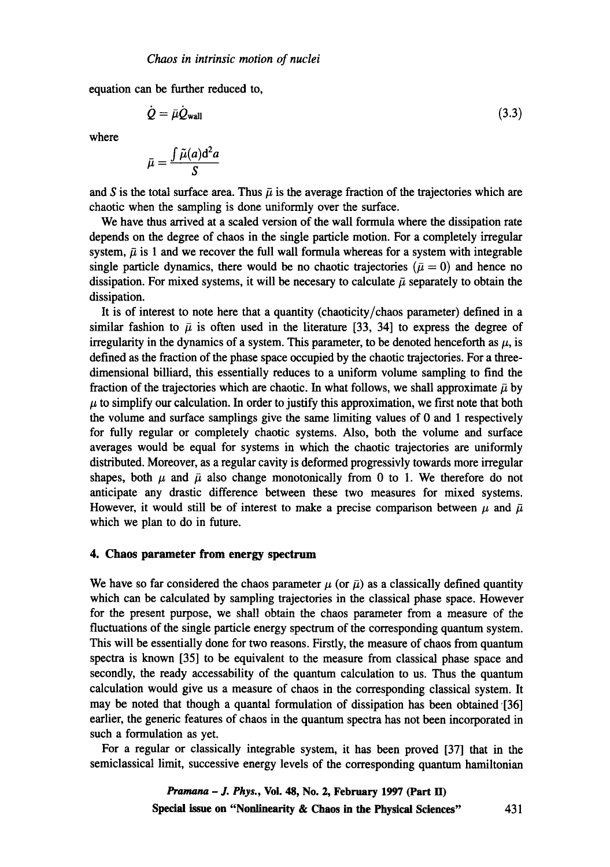equation can be further reduced to,

$$
\dot{Q} = \bar{\mu} \dot{Q}_{\text{wall}} \tag{3.3}
$$

where

$$
\bar{\mu} = \frac{\int \tilde{\mu}(a) d^2 a}{S}
$$

and S is the total surface area. Thus  $\bar{\mu}$  is the average fraction of the trajectories which are chaotic when the sampling is done uniformly over the surface.

We have thus arrived at a scaled version of the wall formula where the dissipation rate depends on the degree of chaos in the single particle motion. For a completely irregular system,  $\bar{\mu}$  is 1 and we recover the full wall formula whereas for a system with integrable single particle dynamics, there would be no chaotic trajectories ( $\bar{\mu} = 0$ ) and hence no dissipation. For mixed systems, it will be necesary to calculate  $\bar{\mu}$  separately to obtain the dissipation.

It is of interest to note here that a quantity (chaoticity/chaos parameter) defined in a similar fashion to  $\bar{\mu}$  is often used in the literature [33, 34] to express the degree of irregularity in the dynamics of a system. This parameter, to be denoted henceforth as  $\mu$ , is defined as the fraction of the phase space occupied by the chaotic trajectories. For a threedimensional billiard, this essentially reduces to a uniform volume sampling to find the fraction of the trajectories which are chaotic. In what follows, we shall approximate  $\bar{\mu}$  by  $\mu$  to simplify our calculation. In order to justify this approximation, we first note that both the volume and surface samplings give the same limiting values of 0 and 1 respectively for fully regular or completely chaotic systems. Also, both the volume and surface averages would be equal for systems in which the chaotic trajectories are uniformly distributed. Moreover, as a regular cavity is deformed progressivly towards more irregular shapes, both  $\mu$  and  $\bar{\mu}$  also change monotonically from 0 to 1. We therefore do not anticipate any drastic difference between these two measures for mixed systems. However, it would still be of interest to make a precise comparison between  $\mu$  and  $\bar{\mu}$ which we plan to do in future.

# **4. Chaos parameter from energy spectrum**

We have so far considered the chaos parameter  $\mu$  (or  $\bar{\mu}$ ) as a classically defined quantity which can be calculated by sampling trajectories in the classical phase space. However for the present purpose, we shall obtain the chaos parameter from a measure of the fluctuations of the single particle energy spectrum of the corresponding quantum system. This will be essentially done for two reasons. Firstly, the measure of chaos from quantum spectra is known [35] to be equivalent to the measure from classical phase space and secondly, the ready accessability of the quantum calculation to us. Thus the quantum calculation would give us a measure of chaos in the corresponding classical system. It may be noted that though a quantal formulation of dissipation has been obtained [36] earlier, the generic features of chaos in the quantum spectra has not been incorporated in such a formulation as yet.

For a regular or classically integrable system, it has been proved [37] that in the semiclassical limit, successive energy levels of the corresponding quantum hamiltonian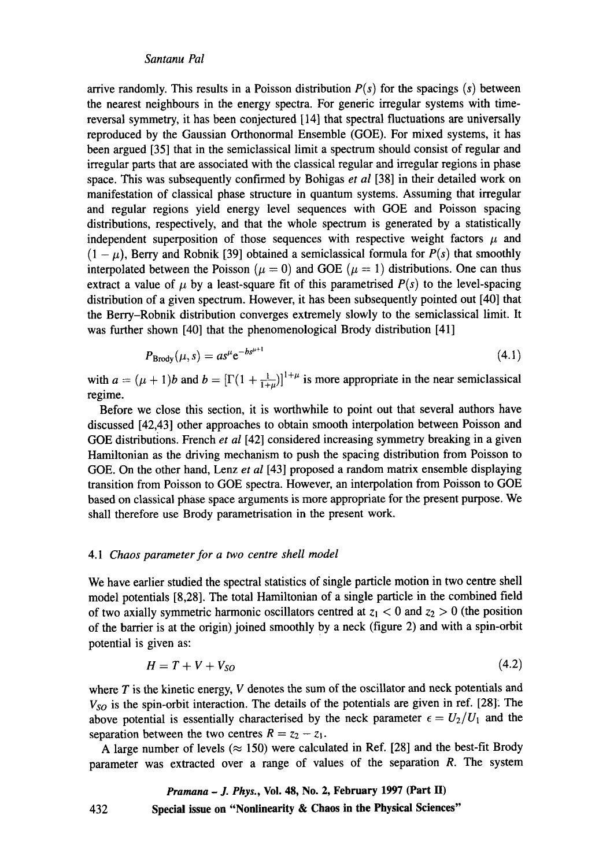arrive randomly. This results in a Poisson distribution  $P(s)$  for the spacings  $(s)$  between the nearest neighbours in the energy spectra. For generic irregular systems with timereversal symmetry, it has been conjectured [14] that spectral fluctuations are universally reproduced by the Gaussian Orthonormal Ensemble (GOE). For mixed systems, it has been argued [35] that in the semiclassical limit a spectrum should consist of regular and irregular parts that are associated with the classical regular and irregular regions in phase space. This was subsequently confirmed by Bohigas *et al* [38] in their detailed work on manifestation of classical phase structure in quantum systems. Assuming that irregular and regular regions yield energy level sequences with GOE and Poisson spacing distributions, respectively, and that the whole spectrum is generated by a statistically independent superposition of those sequences with respective weight factors  $\mu$  and  $(1 - \mu)$ , Berry and Robnik [39] obtained a semiclassical formula for  $P(s)$  that smoothly interpolated between the Poisson ( $\mu = 0$ ) and GOE ( $\mu = 1$ ) distributions. One can thus extract a value of  $\mu$  by a least-square fit of this parametrised  $P(s)$  to the level-spacing distribution of a given spectrum. However, it has been subsequently pointed out [40] that the Berry-Robnik distribution converges extremely slowly to the semiclassical limit. It was further shown [40] that the phenomenological Brody distribution [41]

$$
P_{\rm Brody}(\mu, s) = a s^{\mu} e^{-b s^{\mu+1}} \tag{4.1}
$$

with  $a = (\mu + 1)b$  and  $b = [\Gamma(1 + \frac{1}{1+\mu})]^{1+\mu}$  is more appropriate in the near semiclassical regime.

Before we close this section, it is worthwhile to point out that several authors have discussed [42,43] other approaches to obtain smooth interpolation between Poisson and GOE distributions. French *et al* [42] considered increasing symmetry breaking in a given Hamiltonian as the driving mechanism to push the spacing distribution from Poisson to GOE. On the other hand, Lenz *et al* [43] proposed a random matrix ensemble displaying transition from Poisson to GOE spectra. However, an interpolation from Poisson to GOE based on classical phase space arguments is more appropriate for the present purpose. We shall therefore use Brody parametrisation in the present work.

#### 4.1 *Chaos parameter for a two centre shell model*

We have earlier studied the spectral statistics of single particle motion in two centre shell model potentials [8,28]. The total Hamiltonian of a single particle in the combined field of two axially symmetric harmonic oscillators centred at  $z_1 < 0$  and  $z_2 > 0$  (the position of the barrier is at the origin) joined smoothly by a neck (figure 2) and with a spin-orbit potential is given as:

$$
H = T + V + V_{SO} \tag{4.2}
$$

where  $T$  is the kinetic energy,  $V$  denotes the sum of the oscillator and neck potentials and *Vso* is the spin-orbit interaction. The details of the potentials are given in ref. [28]. The above potential is essentially characterised by the neck parameter  $\epsilon = U_2/U_1$  and the separation between the two centres  $R = z_2 - z_1$ .

A large number of levels ( $\approx$  150) were calculated in Ref. [28] and the best-fit Brody parameter was extracted over a range of values of the separation R. The system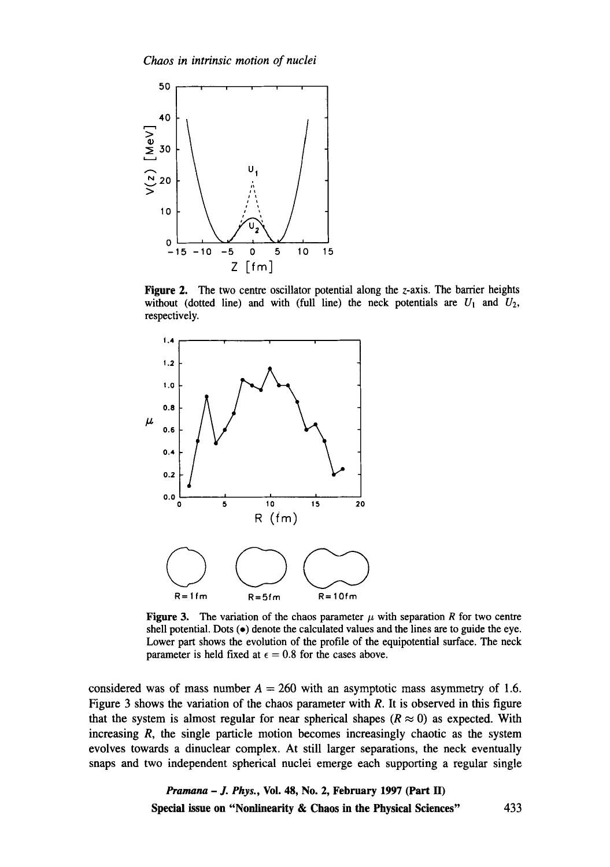

**Figure** 2. The two centre oscillator potential along the z-axis. The barrier heights without (dotted line) and with (full line) the neck potentials are  $U_1$  and  $U_2$ , respectively.



Figure 3. The variation of the chaos parameter  $\mu$  with separation R for two centre shell potential. Dots  $(\bullet)$  denote the calculated values and the lines are to guide the eye. Lower part shows the evolution of the profile of the equipotential surface. The neck parameter is held fixed at  $\epsilon = 0.8$  for the cases above.

considered was of mass number  $A = 260$  with an asymptotic mass asymmetry of 1.6. Figure 3 shows the variation of the chaos parameter with  $R$ . It is observed in this figure that the system is almost regular for near spherical shapes ( $R \approx 0$ ) as expected. With increasing  $R$ , the single particle motion becomes increasingly chaotic as the system evolves towards a dinuclear complex. At still larger separations, the neck eventually snaps and two independent spherical nuclei emerge each supporting a regular single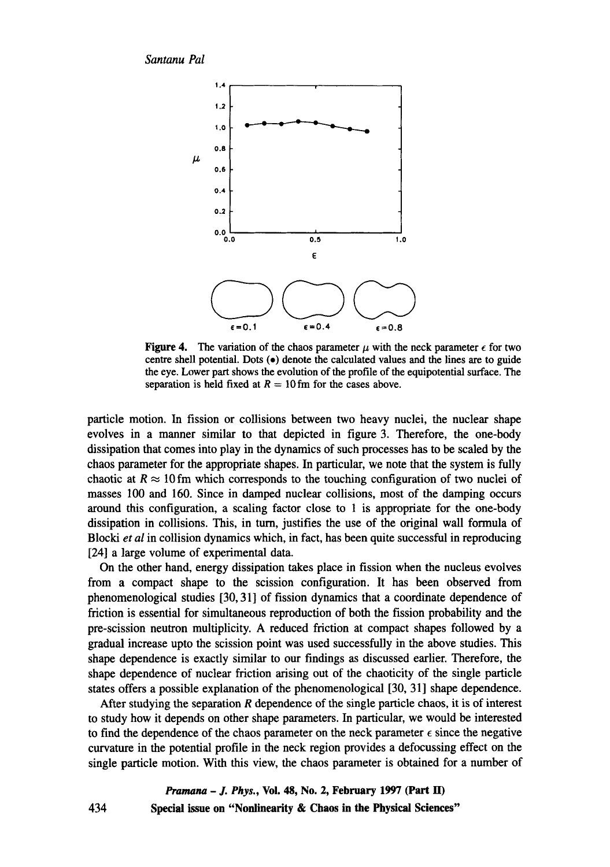*Santanu Pal* 



**Figure 4.** The variation of the chaos parameter  $\mu$  with the neck parameter  $\epsilon$  for two centre shell potential. Dots  $(\bullet)$  denote the calculated values and the lines are to guide the eye. Lower part shows the evolution of the profile of the equipotential surface. The separation is held fixed at  $R = 10$  fm for the cases above.

particle motion. In fission or collisions between two heavy nuclei, the nuclear shape evolves in a manner similar to that depicted in figure 3. Therefore, the one-body dissipation that comes into play in the dynamics of such processes has to be scaled by the chaos parameter for the appropriate shapes. In particular, we note that the system is fully chaotic at  $R \approx 10$  fm which corresponds to the touching configuration of two nuclei of masses 100 and 160. Since in damped nuclear collisions, most of the damping occurs around this configuration, a scaling factor close to 1 is appropriate for the one-body dissipation in collisions. This, in turn, justifies the use of the original wall formula of Blocki *et al* in collision dynamics which, in fact, has been quite successful in reproducing [24] a large volume of experimental data.

On the other hand, energy dissipation takes place in fission when the nucleus evolves from a compact shape to the scission configuration. It has been observed from phenomenological studies [30, 31] of fission dynamics that a coordinate dependence of friction is essential for simultaneous reproduction of both the fission probability and the pre-scission neutron multiplicity. A reduced friction at compact shapes followed by a gradual increase upto the scission point was used successfully in the above studies. This shape dependence is exactly similar to our findings as discussed earlier. Therefore, the shape dependence of nuclear friction arising out of the chaoticity of the single particle states offers a possible explanation of the phenomenological [30, 31] shape dependence.

After studying the separation  *dependence of the single particle chaos, it is of interest* to study how it depends on other shape parameters. In particular, we would be interested to find the dependence of the chaos parameter on the neck parameter  $\epsilon$  since the negative curvature in the potential profile in the neck region provides a defocussing effect on the single particle motion. With this view, the chaos parameter is obtained for a number of

*Pramana - J. Phys.,* **Vol. 48, No. 2, February 1997 (Part H) Special issue on "Nonlinearity & Chaos in the Physical Sciences"** 

434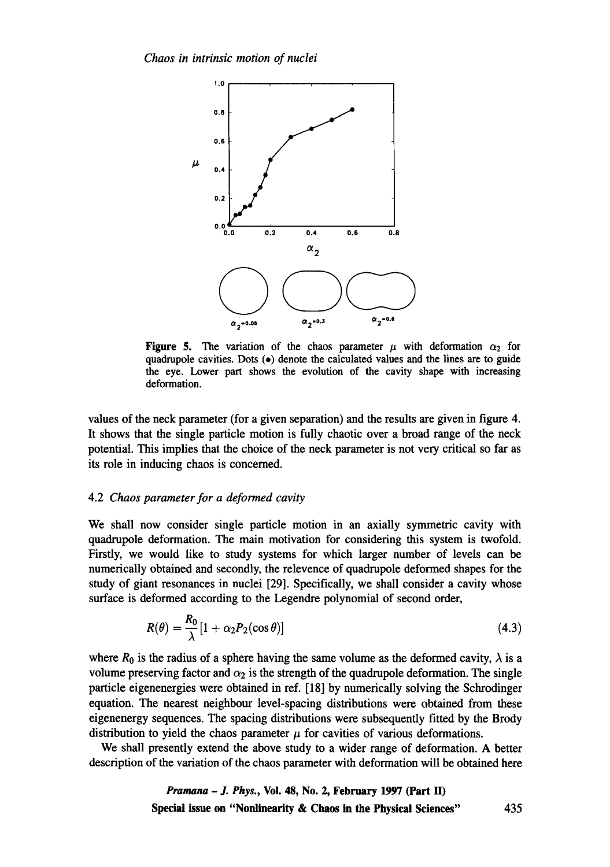

Figure 5. The variation of the chaos parameter  $\mu$  with deformation  $\alpha_2$  for quadrupole cavities. Dots (e) denote the calculated values and the lines are to guide the eye. Lower part shows the evolution of the cavity shape with increasing deformation.

values of the neck parameter (for a given separation) and the results are given in figure 4. It shows that the single particle motion is fully chaotic over a broad range of the neck potential. This implies that the choice of the neck parameter is not very critical so far as its role in inducing chaos is concerned.

#### 4.2 *Chaos parameter for a deformed cavity*

We shall now consider single particle motion in an axially symmetric cavity with quadrupole deformation. The main motivation for considering this system is twofold. Firstly, we would like to study systems for which larger number of levels can be numerically obtained and secondly, the relevence of quadrupole deformed shapes for the study of giant resonances in nuclei [29]. Specifically, we shall consider a cavity whose surface is deformed according to the Legendre polynomial of second order,

$$
R(\theta) = \frac{R_0}{\lambda} [1 + \alpha_2 P_2(\cos \theta)] \tag{4.3}
$$

where  $R_0$  is the radius of a sphere having the same volume as the deformed cavity,  $\lambda$  is a volume preserving factor and  $\alpha_2$  is the strength of the quadrupole deformation. The single particle eigenenergies were obtained in ref. [18] by numerically solving the Schrodinger equation. The nearest neighbour level-spacing distributions were obtained from these eigenenergy sequences. The spacing distributions were subsequently fitted by the Brody distribution to yield the chaos parameter  $\mu$  for cavities of various deformations.

We shall presently extend the above study to a wider range of deformation. A better description of the variation of the chaos parameter with deformation will be obtained here

*Pramana - J. Phys.,* **Voi. 48, No. 2, February 1997 (Part H) Special issue on "Nonlinearity & Chaos in the Physical Sciences"** 435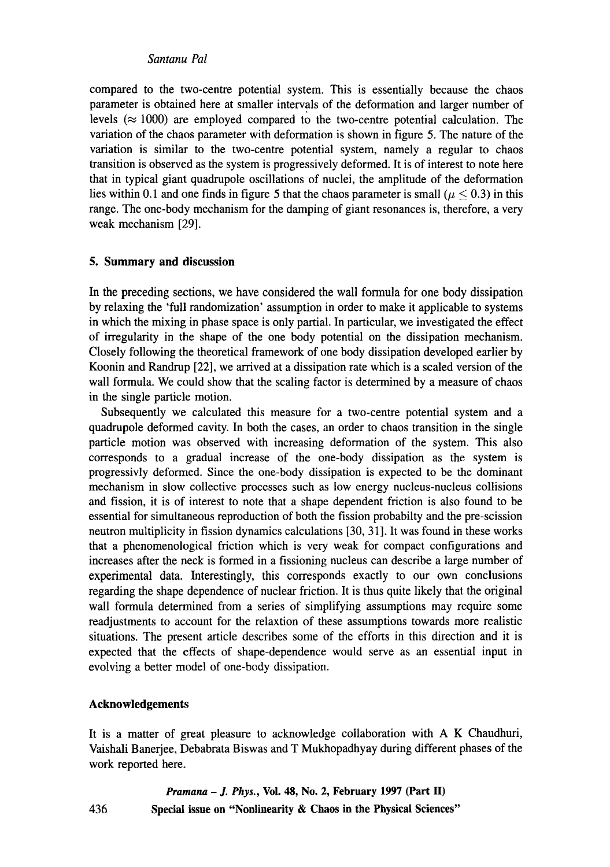## *Santanu Pal*

compared to the two-centre potential system. This is essentially because the chaos parameter is obtained here at smaller intervals of the deformation and larger number of levels  $(\approx 1000)$  are employed compared to the two-centre potential calculation. The variation of the chaos parameter with deformation is shown in figure 5. The nature of the variation is similar to the two-centre potential system, namely a regular to chaos transition is observed as the system is progressively deformed. It is of interest to note here that in typical giant quadrupole oscillations of nuclei, the amplitude of the deformation lies within 0.1 and one finds in figure 5 that the chaos parameter is small ( $\mu$  < 0.3) in this range. The one-body mechanism for the damping of giant resonances is, therefore, a very weak mechanism [29].

## **5. Summary and discussion**

In the preceding sections, we have considered the wall formula for one body dissipation by relaxing the 'full randomization' assumption in order to make it applicable to systems in which the mixing in phase space is only partial. In particular, we investigated the effect of irregularity in the shape of the one body potential on the dissipation mechanism. Closely following the theoretical framework of one body dissipation developed earlier by Koonin and Randrup [22], we arrived at a dissipation rate which is a scaled version of the wall formula. We could show that the scaling factor is determined by a measure of chaos in the single particle motion.

Subsequently we calculated this measure for a two-centre potential system and a quadrupole deformed cavity. In both the cases, an order to chaos transition in the single particle motion was observed with increasing deformation of the system. This also corresponds to a gradual increase of the one-body dissipation as the system is progressivly deformed. Since the one-body dissipation is expected to be the dominant mechanism in slow collective processes such as low energy nucleus-nucleus collisions and fission, it is of interest to note that a shape dependent friction is also found to be essential for simultaneous reproduction of both the fission probabilty and the pre-scission neutron multiplicity in fission dynamics calculations [30, 31]. It was found in these works that a phenomenological friction which is very weak for compact configurations and increases after the neck is formed in a fissioning nucleus can describe a large number of experimental data. Interestingly, this corresponds exactly to our own conclusions regarding the shape dependence of nuclear friction. It is thus quite likely that the original wall formula determined from a series of simplifying assumptions may require some readjustments to account for the relaxtion of these assumptions towards more realistic situations. The present article describes some of the efforts in this direction and it is expected that the effects of shape-dependence would serve as an essential input in evolving a better model of one-body dissipation.

# **Acknowledgements**

It is a matter of great pleasure to acknowledge collaboration with A K Chaudhuri, Vaishali Banerjee, Debabrata Biswas and T Mukhopadhyay during different phases of the work reported here.